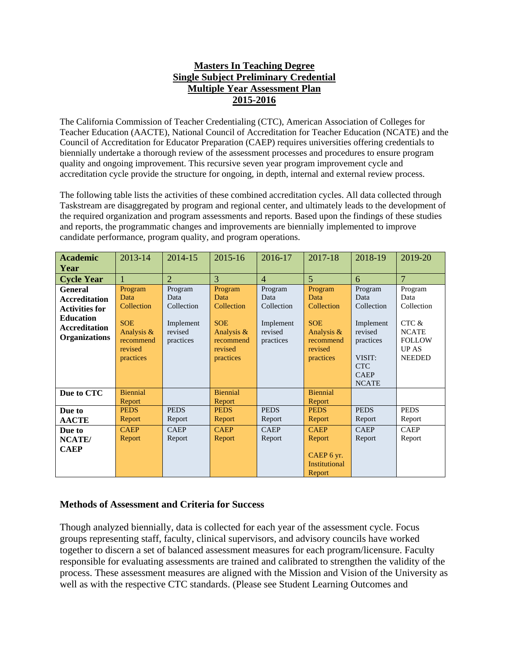## **Masters In Teaching Degree Single Subject Preliminary Credential Multiple Year Assessment Plan 2015-2016**

The California Commission of Teacher Credentialing (CTC), American Association of Colleges for Teacher Education (AACTE), National Council of Accreditation for Teacher Education (NCATE) and the Council of Accreditation for Educator Preparation (CAEP) requires universities offering credentials to biennially undertake a thorough review of the assessment processes and procedures to ensure program quality and ongoing improvement. This recursive seven year program improvement cycle and accreditation cycle provide the structure for ongoing, in depth, internal and external review process.

The following table lists the activities of these combined accreditation cycles. All data collected through Taskstream are disaggregated by program and regional center, and ultimately leads to the development of the required organization and program assessments and reports. Based upon the findings of these studies and reports, the programmatic changes and improvements are biennially implemented to improve candidate performance, program quality, and program operations.

| <b>Academic</b>                                                                                                                     | 2013-14                                                                                        | 2014-15                                                            | 2015-16                                                                                        | 2016-17                                                            | 2017-18                                                                                        | 2018-19                                                                                                                   | 2019-20                                                                                                  |
|-------------------------------------------------------------------------------------------------------------------------------------|------------------------------------------------------------------------------------------------|--------------------------------------------------------------------|------------------------------------------------------------------------------------------------|--------------------------------------------------------------------|------------------------------------------------------------------------------------------------|---------------------------------------------------------------------------------------------------------------------------|----------------------------------------------------------------------------------------------------------|
| Year                                                                                                                                |                                                                                                |                                                                    |                                                                                                |                                                                    |                                                                                                |                                                                                                                           |                                                                                                          |
| <b>Cycle Year</b>                                                                                                                   |                                                                                                | $\overline{2}$                                                     | 3                                                                                              | $\overline{4}$                                                     | $\overline{5}$                                                                                 | 6                                                                                                                         | $\overline{7}$                                                                                           |
| <b>General</b><br><b>Accreditation</b><br><b>Activities for</b><br><b>Education</b><br><b>Accreditation</b><br><b>Organizations</b> | Program<br>Data<br>Collection<br><b>SOE</b><br>Analysis &<br>recommend<br>revised<br>practices | Program<br>Data<br>Collection<br>Implement<br>revised<br>practices | Program<br>Data<br>Collection<br><b>SOE</b><br>Analysis &<br>recommend<br>revised<br>practices | Program<br>Data<br>Collection<br>Implement<br>revised<br>practices | Program<br>Data<br>Collection<br><b>SOE</b><br>Analysis &<br>recommend<br>revised<br>practices | Program<br>Data<br>Collection<br>Implement<br>revised<br>practices<br>VISIT:<br><b>CTC</b><br><b>CAEP</b><br><b>NCATE</b> | Program<br>Data<br>Collection<br>CTC &<br><b>NCATE</b><br><b>FOLLOW</b><br><b>UP AS</b><br><b>NEEDED</b> |
| Due to CTC                                                                                                                          | <b>Biennial</b><br>Report                                                                      |                                                                    | <b>Biennial</b><br>Report                                                                      |                                                                    | <b>Biennial</b><br>Report                                                                      |                                                                                                                           |                                                                                                          |
| Due to                                                                                                                              | <b>PEDS</b>                                                                                    | <b>PEDS</b>                                                        | <b>PEDS</b>                                                                                    | <b>PEDS</b>                                                        | <b>PEDS</b>                                                                                    | <b>PEDS</b>                                                                                                               | <b>PEDS</b>                                                                                              |
| <b>AACTE</b>                                                                                                                        | Report                                                                                         | Report                                                             | Report                                                                                         | Report                                                             | Report                                                                                         | Report                                                                                                                    | Report                                                                                                   |
| Due to                                                                                                                              | <b>CAEP</b>                                                                                    | <b>CAEP</b>                                                        | <b>CAEP</b>                                                                                    | <b>CAEP</b>                                                        | <b>CAEP</b>                                                                                    | <b>CAEP</b>                                                                                                               | <b>CAEP</b>                                                                                              |
| NCATE/                                                                                                                              | Report                                                                                         | Report                                                             | Report                                                                                         | Report                                                             | Report                                                                                         | Report                                                                                                                    | Report                                                                                                   |
| <b>CAEP</b>                                                                                                                         |                                                                                                |                                                                    |                                                                                                |                                                                    | CAEP 6 yr.<br><b>Institutional</b><br>Report                                                   |                                                                                                                           |                                                                                                          |

## **Methods of Assessment and Criteria for Success**

Though analyzed biennially, data is collected for each year of the assessment cycle. Focus groups representing staff, faculty, clinical supervisors, and advisory councils have worked together to discern a set of balanced assessment measures for each program/licensure. Faculty responsible for evaluating assessments are trained and calibrated to strengthen the validity of the process. These assessment measures are aligned with the Mission and Vision of the University as well as with the respective CTC standards. (Please see Student Learning Outcomes and